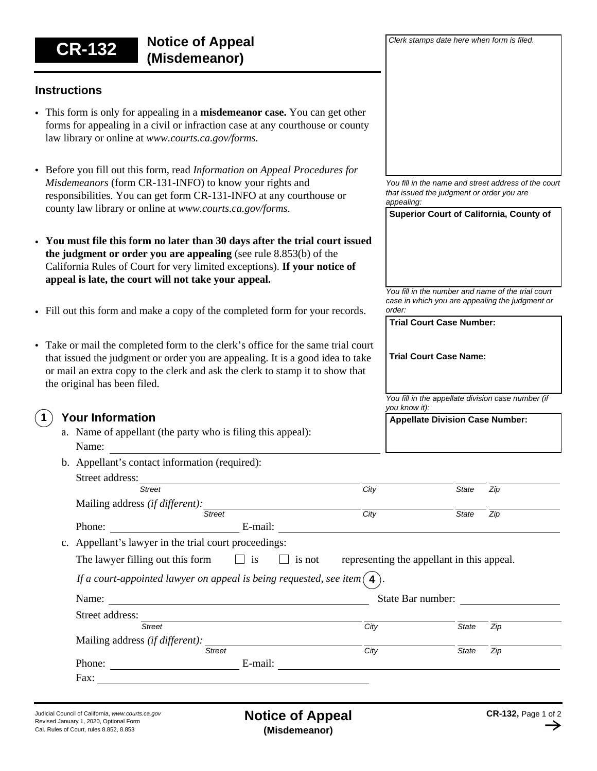**Instructions** Before you fill out this form, read *Information on Appeal Procedures for*  • *Misdemeanors* (form CR-131-INFO) to know your rights and responsibilities. You can get form CR-131-INFO at any courthouse or county law library or online at *www.courts.ca.gov/forms*. This form is only for appealing in a **misdemeanor case.** You can get other • forms for appealing in a civil or infraction case at any courthouse or county law library or online at *www.courts.ca.gov/forms.*  **You must file this form no later than 30 days after the trial court issued**  • **the judgment or order you are appealing** (see rule 8.853(b) of the California Rules of Court for very limited exceptions). **If your notice of appeal is late, the court will not take your appeal.** • Fill out this form and make a copy of the completed form for your records. • Take or mail the completed form to the clerk's office for the same trial court that issued the judgment or order you are appealing. It is a good idea to take or mail an extra copy to the clerk and ask the clerk to stamp it to show that the original has been filed. **Superior Court of California, County of** *You fill in the number and name of the trial court case in which you are appealing the judgment or order:* **Trial Court Case Number:** *You fill in the name and street address of the court that issued the judgment or order you are appealing: You fill in the appellate division case number (if you know it):* **Appellate Division Case Number: Trial Court Case Name: CR-132 Notice of Appeal (Misdemeanor) Your Information** Phone: E-mail: Mailing address *(if different):*  a. Name of appellant (the party who is filing this appeal): Name: State Bar number: c. Appellant's lawyer in the trial court proceedings: Name: *City State* Street address: *Street Zip Street City State Zip* Phone: E-mail: Mailing address *(if different): City State* Street address: *Street Zip Street City State* Fax: The state of the state of the state of the state of the state of the state of the state of the state of the state of the state of the state of the state of the state of the state of the state of the state of the state *Zip* The lawyer filling out this form **1** b. Appellant's contact information (required):  $\Box$  is  $\Box$  is not representing the appellant in this appeal. *If a court-appointed lawyer on appeal is being requested, see item*  $\left( 4 \right)$ 

*Clerk stamps date here when form is filed.*